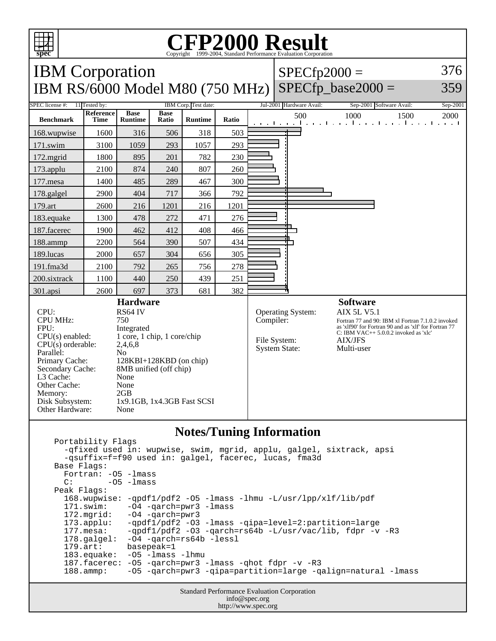

## **CFP2000 Result** Copyright 1999-2004, Standard Performance Evaluation Corporation

IBM Corporation IBM RS/6000 Model M80 (750 MHz)  $SPECfp2000 =$  $SPECfp\_base2000 =$ 376 359 SPEC license #: 11 Tested by: IBM Corp. Test date: Jul-2001 Hardware Avail: Sep-2001 Software Avail: Sep-2001 **Benchmark Reference Time Base Runtime Base Ratio Runtime Ratio** 500 1000 1500 2000 168.wupwise 1600 316 506 318 503 171.swim | 3100 | 1059 | 293 | 1057 | 293 172.mgrid | 1800 | 895 | 201 | 782 | 230 173.applu | 2100 | 874 | 240 | 807 | 260 177.mesa | 1400 | 485 | 289 | 467 | 300 178.galgel | 2900 | 404 | 717 | 366 | 792 179.art 2600 216 1201 216 1201 183.equake 1300 478 272 471 276 187.facerec | 1900 462 412 408 466 188.ammp | 2200 | 564 | 390 | 507 | 434 189.lucas | 2000 | 657 | 304 | 656 | 305 191.fma3d | 2100 | 792 | 265 | 756 | 278 200.sixtrack 1100 440 250 439 251 301.apsi 2600 697 373 681 382 **Hardware** CPU: RS64 IV<br>CPU MHz: 750 CPU MHz: FPU: Integrated CPU(s) enabled: 1 core, 1 chip, 1 core/chip CPU(s) orderable: 2,4,6,8 Parallel: No Primary Cache: 128KBI+128KBD (on chip) Secondary Cache: 8MB unified (off chip) L3 Cache: None Other Cache: None Memory: 2GB Disk Subsystem: 1x9.1GB, 1x4.3GB Fast SCSI Other Hardware: None **Software** Operating System: AIX 5L V5.1 Compiler: Fortran 77 and 90: IBM xl Fortran 7.1.0.2 invoked as 'xlf90' for Fortran 90 and as 'xlf' for Fortran 77 C: IBM VAC++ 5.0.0.2 invoked as 'xlc' File System: AIX/JFS<br>System State: Multi-user System State:

## **Notes/Tuning Information**

 Portability Flags -qfixed used in: wupwise, swim, mgrid, applu, galgel, sixtrack, apsi -qsuffix=f=f90 used in: galgel, facerec, lucas, fma3d Base Flags: Fortran: -O5 -lmass  $C:$   $-05$   $-1$ mass Peak Flags: 168.wupwise: -qpdf1/pdf2 -O5 -lmass -lhmu -L/usr/lpp/xlf/lib/pdf -O4 -qarch=pwr3 -lmass 172.mgrid: -O4 -qarch=pwr3 173.applu: -qpdf1/pdf2 -O3 -lmass -qipa=level=2:partition=large 177.mesa: -qpdf1/pdf2 -O3 -qarch=rs64b -L/usr/vac/lib, fdpr -v -R3 178.galgel: -04 -qarch=rs64b -lessl<br>179.art: basepeak=1 basepeak=1 183.equake: -O5 -lmass -lhmu 187.facerec: -O5 -qarch=pwr3 -lmass -qhot fdpr -v -R3 188.ammp: -O5 -qarch=pwr3 -qipa=partition=large -qalign=natural -lmass

> Standard Performance Evaluation Corporation info@spec.org http://www.spec.org